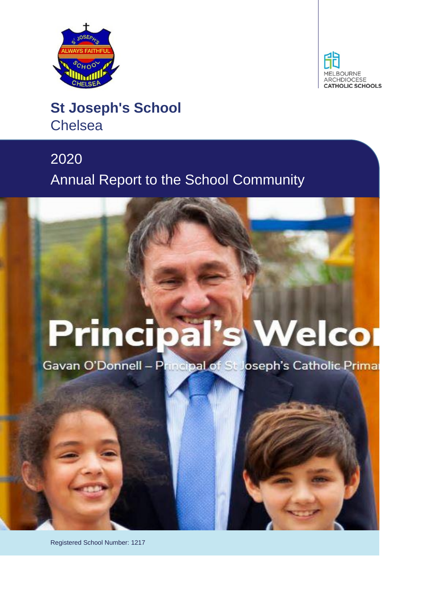



### **St Joseph's School Chelsea**

## 2020 Annual Report to the School Community

# **Principal's Welcor**

Gavan O'Donnell - Principal of St Joseph's Catholic Primar

Registered School Number: 1217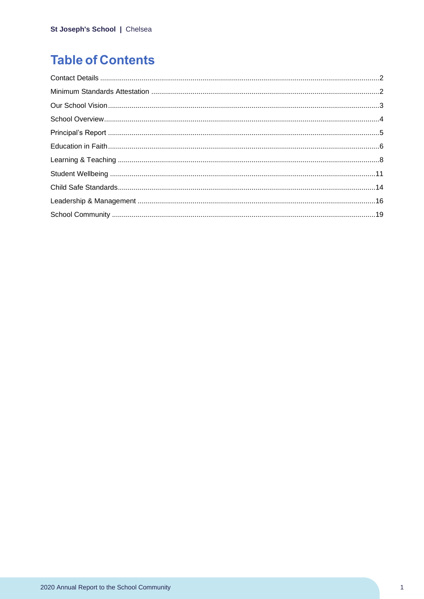### **Table of Contents**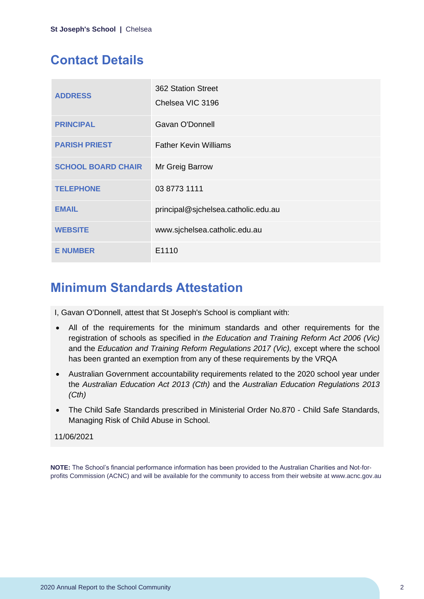### <span id="page-2-0"></span>**Contact Details**

| <b>ADDRESS</b>            | 362 Station Street<br>Chelsea VIC 3196 |
|---------------------------|----------------------------------------|
| <b>PRINCIPAL</b>          | Gavan O'Donnell                        |
| <b>PARISH PRIEST</b>      | <b>Father Kevin Williams</b>           |
| <b>SCHOOL BOARD CHAIR</b> | Mr Greig Barrow                        |
| <b>TELEPHONE</b>          | 03 8773 1111                           |
| <b>EMAIL</b>              | principal@sjchelsea.catholic.edu.au    |
| <b>WEBSITE</b>            | www.sjchelsea.catholic.edu.au          |
| <b>E NUMBER</b>           | E1110                                  |

### <span id="page-2-1"></span>**Minimum Standards Attestation**

I, Gavan O'Donnell, attest that St Joseph's School is compliant with:

- All of the requirements for the minimum standards and other requirements for the registration of schools as specified in *the Education and Training Reform Act 2006 (Vic)* and the *Education and Training Reform Regulations 2017 (Vic),* except where the school has been granted an exemption from any of these requirements by the VRQA
- Australian Government accountability requirements related to the 2020 school year under the *Australian Education Act 2013 (Cth)* and the *Australian Education Regulations 2013 (Cth)*
- The Child Safe Standards prescribed in Ministerial Order No.870 Child Safe Standards, Managing Risk of Child Abuse in School.

### 11/06/2021

**NOTE:** The School's financial performance information has been provided to the Australian Charities and Not-forprofits Commission (ACNC) and will be available for the community to access from their website at www.acnc.gov.au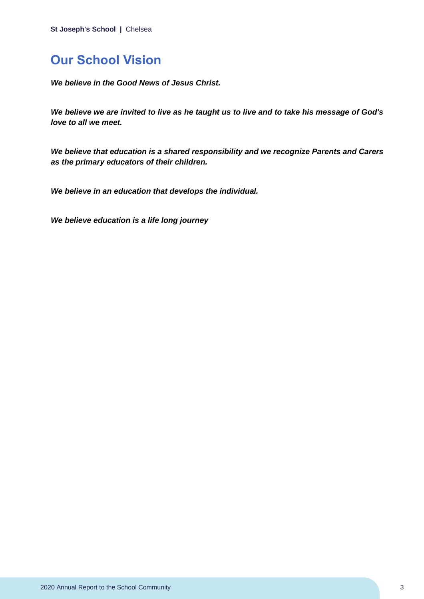### <span id="page-3-0"></span>**Our School Vision**

*We believe in the Good News of Jesus Christ.*

*We believe we are invited to live as he taught us to live and to take his message of God's love to all we meet.*

*We believe that education is a shared responsibility and we recognize Parents and Carers as the primary educators of their children.*

*We believe in an education that develops the individual.*

*We believe education is a life long journey*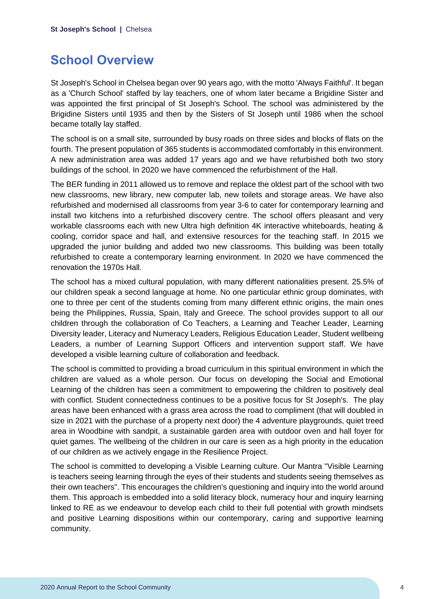### <span id="page-4-0"></span>**School Overview**

St Joseph's School in Chelsea began over 90 years ago, with the motto 'Always Faithful'. It began as a 'Church School' staffed by lay teachers, one of whom later became a Brigidine Sister and was appointed the first principal of St Joseph's School. The school was administered by the Brigidine Sisters until 1935 and then by the Sisters of St Joseph until 1986 when the school became totally lay staffed.

The school is on a small site, surrounded by busy roads on three sides and blocks of flats on the fourth. The present population of 365 students is accommodated comfortably in this environment. A new administration area was added 17 years ago and we have refurbished both two story buildings of the school. In 2020 we have commenced the refurbishment of the Hall.

The BER funding in 2011 allowed us to remove and replace the oldest part of the school with two new classrooms, new library, new computer lab, new toilets and storage areas. We have also refurbished and modernised all classrooms from year 3-6 to cater for contemporary learning and install two kitchens into a refurbished discovery centre. The school offers pleasant and very workable classrooms each with new Ultra high definition 4K interactive whiteboards, heating & cooling, corridor space and hall, and extensive resources for the teaching staff. In 2015 we upgraded the junior building and added two new classrooms. This building was been totally refurbished to create a contemporary learning environment. In 2020 we have commenced the renovation the 1970s Hall.

The school has a mixed cultural population, with many different nationalities present. 25.5% of our children speak a second language at home. No one particular ethnic group dominates, with one to three per cent of the students coming from many different ethnic origins, the main ones being the Philippines, Russia, Spain, Italy and Greece. The school provides support to all our children through the collaboration of Co Teachers, a Learning and Teacher Leader, Learning Diversity leader, Literacy and Numeracy Leaders, Religious Education Leader, Student wellbeing Leaders, a number of Learning Support Officers and intervention support staff. We have developed a visible learning culture of collaboration and feedback.

The school is committed to providing a broad curriculum in this spiritual environment in which the children are valued as a whole person. Our focus on developing the Social and Emotional Learning of the children has seen a commitment to empowering the children to positively deal with conflict. Student connectedness continues to be a positive focus for St Joseph's. The play areas have been enhanced with a grass area across the road to compliment (that will doubled in size in 2021 with the purchase of a property next door) the 4 adventure playgrounds, quiet treed area in Woodbine with sandpit, a sustainable garden area with outdoor oven and hall foyer for quiet games. The wellbeing of the children in our care is seen as a high priority in the education of our children as we actively engage in the Resilience Project.

The school is committed to developing a Visible Learning culture. Our Mantra "Visible Learning is teachers seeing learning through the eyes of their students and students seeing themselves as their own teachers". This encourages the children's questioning and inquiry into the world around them. This approach is embedded into a solid literacy block, numeracy hour and inquiry learning linked to RE as we endeavour to develop each child to their full potential with growth mindsets and positive Learning dispositions within our contemporary, caring and supportive learning community.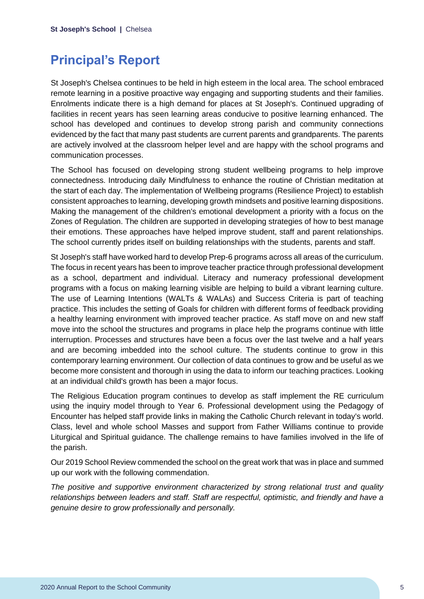### <span id="page-5-0"></span>**Principal's Report**

St Joseph's Chelsea continues to be held in high esteem in the local area. The school embraced remote learning in a positive proactive way engaging and supporting students and their families. Enrolments indicate there is a high demand for places at St Joseph's. Continued upgrading of facilities in recent years has seen learning areas conducive to positive learning enhanced. The school has developed and continues to develop strong parish and community connections evidenced by the fact that many past students are current parents and grandparents. The parents are actively involved at the classroom helper level and are happy with the school programs and communication processes.

The School has focused on developing strong student wellbeing programs to help improve connectedness. Introducing daily Mindfulness to enhance the routine of Christian meditation at the start of each day. The implementation of Wellbeing programs (Resilience Project) to establish consistent approaches to learning, developing growth mindsets and positive learning dispositions. Making the management of the children's emotional development a priority with a focus on the Zones of Regulation. The children are supported in developing strategies of how to best manage their emotions. These approaches have helped improve student, staff and parent relationships. The school currently prides itself on building relationships with the students, parents and staff.

St Joseph's staff have worked hard to develop Prep-6 programs across all areas of the curriculum. The focus in recent years has been to improve teacher practice through professional development as a school, department and individual. Literacy and numeracy professional development programs with a focus on making learning visible are helping to build a vibrant learning culture. The use of Learning Intentions (WALTs & WALAs) and Success Criteria is part of teaching practice. This includes the setting of Goals for children with different forms of feedback providing a healthy learning environment with improved teacher practice. As staff move on and new staff move into the school the structures and programs in place help the programs continue with little interruption. Processes and structures have been a focus over the last twelve and a half years and are becoming imbedded into the school culture. The students continue to grow in this contemporary learning environment. Our collection of data continues to grow and be useful as we become more consistent and thorough in using the data to inform our teaching practices. Looking at an individual child's growth has been a major focus.

The Religious Education program continues to develop as staff implement the RE curriculum using the inquiry model through to Year 6. Professional development using the Pedagogy of Encounter has helped staff provide links in making the Catholic Church relevant in today's world. Class, level and whole school Masses and support from Father Williams continue to provide Liturgical and Spiritual guidance. The challenge remains to have families involved in the life of the parish.

Our 2019 School Review commended the school on the great work that was in place and summed up our work with the following commendation.

*The positive and supportive environment characterized by strong relational trust and quality relationships between leaders and staff. Staff are respectful, optimistic, and friendly and have a genuine desire to grow professionally and personally.*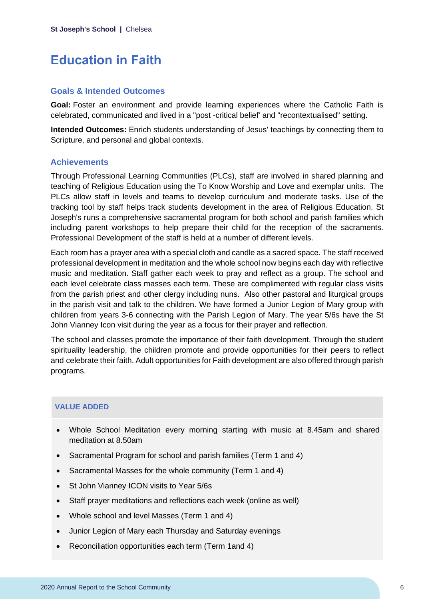### <span id="page-6-0"></span>**Education in Faith**

### **Goals & Intended Outcomes**

**Goal:** Foster an environment and provide learning experiences where the Catholic Faith is celebrated, communicated and lived in a "post -critical belief' and "recontextualised" setting.

**Intended Outcomes:** Enrich students understanding of Jesus' teachings by connecting them to Scripture, and personal and global contexts.

### **Achievements**

Through Professional Learning Communities (PLCs), staff are involved in shared planning and teaching of Religious Education using the To Know Worship and Love and exemplar units. The PLCs allow staff in levels and teams to develop curriculum and moderate tasks. Use of the tracking tool by staff helps track students development in the area of Religious Education. St Joseph's runs a comprehensive sacramental program for both school and parish families which including parent workshops to help prepare their child for the reception of the sacraments. Professional Development of the staff is held at a number of different levels.

Each room has a prayer area with a special cloth and candle as a sacred space. The staff received professional development in meditation and the whole school now begins each day with reflective music and meditation. Staff gather each week to pray and reflect as a group. The school and each level celebrate class masses each term. These are complimented with regular class visits from the parish priest and other clergy including nuns. Also other pastoral and liturgical groups in the parish visit and talk to the children. We have formed a Junior Legion of Mary group with children from years 3-6 connecting with the Parish Legion of Mary. The year 5/6s have the St John Vianney Icon visit during the year as a focus for their prayer and reflection.

The school and classes promote the importance of their faith development. Through the student spirituality leadership, the children promote and provide opportunities for their peers to reflect and celebrate their faith. Adult opportunities for Faith development are also offered through parish programs.

### **VALUE ADDED**

- Whole School Meditation every morning starting with music at 8.45am and shared meditation at 8.50am
- Sacramental Program for school and parish families (Term 1 and 4)
- Sacramental Masses for the whole community (Term 1 and 4)
- St John Vianney ICON visits to Year 5/6s
- Staff prayer meditations and reflections each week (online as well)
- Whole school and level Masses (Term 1 and 4)
- Junior Legion of Mary each Thursday and Saturday evenings
- Reconciliation opportunities each term (Term 1and 4)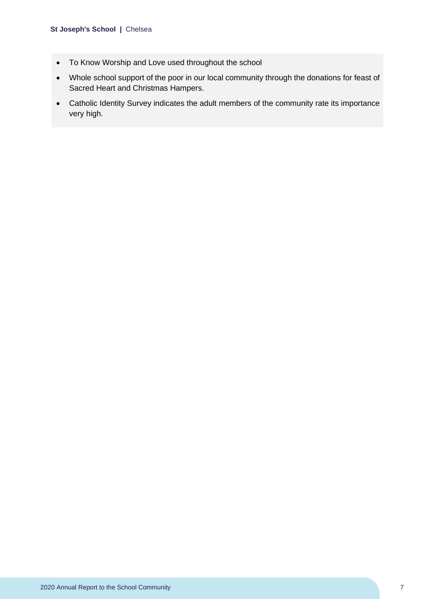#### **St Joseph's School |** Chelsea

- To Know Worship and Love used throughout the school
- Whole school support of the poor in our local community through the donations for feast of Sacred Heart and Christmas Hampers.
- Catholic Identity Survey indicates the adult members of the community rate its importance very high.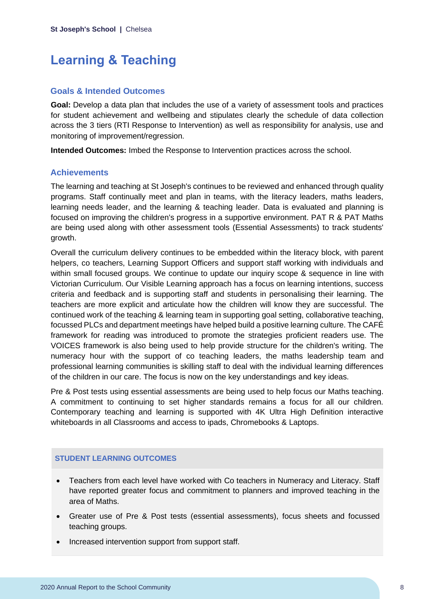### <span id="page-8-0"></span>**Learning & Teaching**

### **Goals & Intended Outcomes**

**Goal:** Develop a data plan that includes the use of a variety of assessment tools and practices for student achievement and wellbeing and stipulates clearly the schedule of data collection across the 3 tiers (RTI Response to Intervention) as well as responsibility for analysis, use and monitoring of improvement/regression.

**Intended Outcomes:** Imbed the Response to Intervention practices across the school.

#### **Achievements**

The learning and teaching at St Joseph's continues to be reviewed and enhanced through quality programs. Staff continually meet and plan in teams, with the literacy leaders, maths leaders, learning needs leader, and the learning & teaching leader. Data is evaluated and planning is focused on improving the children's progress in a supportive environment. PAT R & PAT Maths are being used along with other assessment tools (Essential Assessments) to track students' growth.

Overall the curriculum delivery continues to be embedded within the literacy block, with parent helpers, co teachers, Learning Support Officers and support staff working with individuals and within small focused groups. We continue to update our inquiry scope & sequence in line with Victorian Curriculum. Our Visible Learning approach has a focus on learning intentions, success criteria and feedback and is supporting staff and students in personalising their learning. The teachers are more explicit and articulate how the children will know they are successful. The continued work of the teaching & learning team in supporting goal setting, collaborative teaching, focussed PLCs and department meetings have helped build a positive learning culture. The CAFÉ framework for reading was introduced to promote the strategies proficient readers use. The VOICES framework is also being used to help provide structure for the children's writing. The numeracy hour with the support of co teaching leaders, the maths leadership team and professional learning communities is skilling staff to deal with the individual learning differences of the children in our care. The focus is now on the key understandings and key ideas.

Pre & Post tests using essential assessments are being used to help focus our Maths teaching. A commitment to continuing to set higher standards remains a focus for all our children. Contemporary teaching and learning is supported with 4K Ultra High Definition interactive whiteboards in all Classrooms and access to ipads, Chromebooks & Laptops.

### **STUDENT LEARNING OUTCOMES**

- Teachers from each level have worked with Co teachers in Numeracy and Literacy. Staff have reported greater focus and commitment to planners and improved teaching in the area of Maths.
- Greater use of Pre & Post tests (essential assessments), focus sheets and focussed teaching groups.
- Increased intervention support from support staff.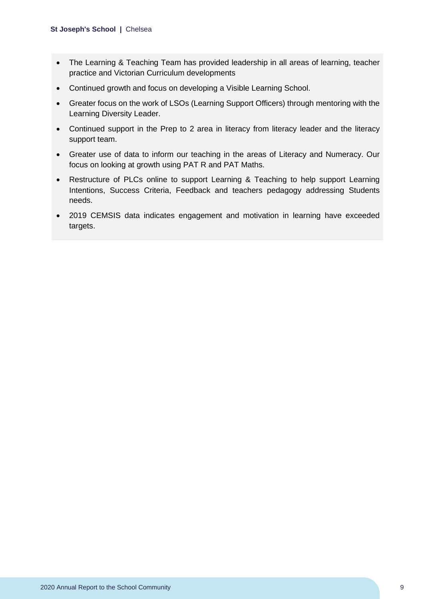- The Learning & Teaching Team has provided leadership in all areas of learning, teacher practice and Victorian Curriculum developments
- Continued growth and focus on developing a Visible Learning School.
- Greater focus on the work of LSOs (Learning Support Officers) through mentoring with the Learning Diversity Leader.
- Continued support in the Prep to 2 area in literacy from literacy leader and the literacy support team.
- Greater use of data to inform our teaching in the areas of Literacy and Numeracy. Our focus on looking at growth using PAT R and PAT Maths.
- Restructure of PLCs online to support Learning & Teaching to help support Learning Intentions, Success Criteria, Feedback and teachers pedagogy addressing Students needs.
- 2019 CEMSIS data indicates engagement and motivation in learning have exceeded targets.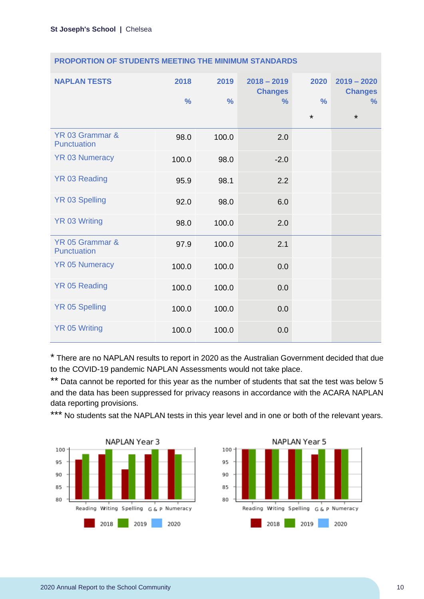| <b>NAPLAN TESTS</b>            | 2018<br>$\frac{0}{0}$ | 2019<br>$\frac{0}{0}$ | $2018 - 2019$<br><b>Changes</b><br>$\frac{9}{6}$ | 2020<br>$\frac{0}{0}$<br>$\star$ | $2019 - 2020$<br><b>Changes</b><br>$\%$<br>$\star$ |
|--------------------------------|-----------------------|-----------------------|--------------------------------------------------|----------------------------------|----------------------------------------------------|
| YR 03 Grammar &<br>Punctuation | 98.0                  | 100.0                 | 2.0                                              |                                  |                                                    |
| <b>YR 03 Numeracy</b>          | 100.0                 | 98.0                  | $-2.0$                                           |                                  |                                                    |
| YR 03 Reading                  | 95.9                  | 98.1                  | 2.2                                              |                                  |                                                    |
| <b>YR 03 Spelling</b>          | 92.0                  | 98.0                  | 6.0                                              |                                  |                                                    |
| <b>YR 03 Writing</b>           | 98.0                  | 100.0                 | 2.0                                              |                                  |                                                    |
| YR 05 Grammar &<br>Punctuation | 97.9                  | 100.0                 | 2.1                                              |                                  |                                                    |
| <b>YR 05 Numeracy</b>          | 100.0                 | 100.0                 | 0.0                                              |                                  |                                                    |
| <b>YR 05 Reading</b>           | 100.0                 | 100.0                 | 0.0                                              |                                  |                                                    |
| <b>YR 05 Spelling</b>          | 100.0                 | 100.0                 | 0.0                                              |                                  |                                                    |
| <b>YR 05 Writing</b>           | 100.0                 | 100.0                 | 0.0                                              |                                  |                                                    |

### **PROPORTION OF STUDENTS MEETING THE MINIMUM STANDARDS**

\* There are no NAPLAN results to report in 2020 as the Australian Government decided that due to the COVID-19 pandemic NAPLAN Assessments would not take place.

\*\* Data cannot be reported for this year as the number of students that sat the test was below 5 and the data has been suppressed for privacy reasons in accordance with the ACARA NAPLAN data reporting provisions.

\*\*\* No students sat the NAPLAN tests in this year level and in one or both of the relevant years.



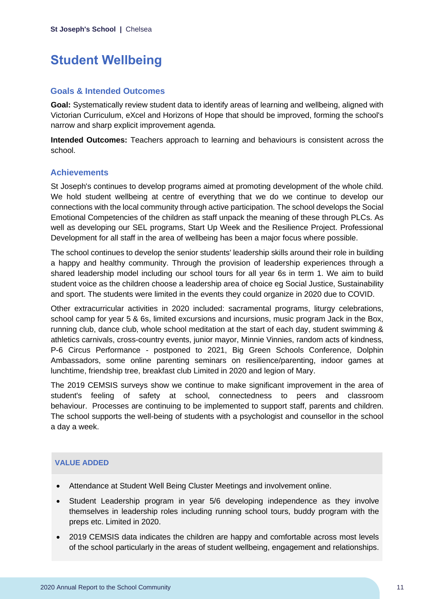### <span id="page-11-0"></span>**Student Wellbeing**

### **Goals & Intended Outcomes**

**Goal:** Systematically review student data to identify areas of learning and wellbeing, aligned with Victorian Curriculum, eXcel and Horizons of Hope that should be improved, forming the school's narrow and sharp explicit improvement agenda.

**Intended Outcomes:** Teachers approach to learning and behaviours is consistent across the school.

### **Achievements**

St Joseph's continues to develop programs aimed at promoting development of the whole child. We hold student wellbeing at centre of everything that we do we continue to develop our connections with the local community through active participation. The school develops the Social Emotional Competencies of the children as staff unpack the meaning of these through PLCs. As well as developing our SEL programs, Start Up Week and the Resilience Project. Professional Development for all staff in the area of wellbeing has been a major focus where possible.

The school continues to develop the senior students' leadership skills around their role in building a happy and healthy community. Through the provision of leadership experiences through a shared leadership model including our school tours for all year 6s in term 1. We aim to build student voice as the children choose a leadership area of choice eg Social Justice, Sustainability and sport. The students were limited in the events they could organize in 2020 due to COVID.

Other extracurricular activities in 2020 included: sacramental programs, liturgy celebrations, school camp for year 5 & 6s, limited excursions and incursions, music program Jack in the Box, running club, dance club, whole school meditation at the start of each day, student swimming & athletics carnivals, cross-country events, junior mayor, Minnie Vinnies, random acts of kindness, P-6 Circus Performance - postponed to 2021, Big Green Schools Conference, Dolphin Ambassadors, some online parenting seminars on resilience/parenting, indoor games at lunchtime, friendship tree, breakfast club Limited in 2020 and legion of Mary.

The 2019 CEMSIS surveys show we continue to make significant improvement in the area of student's feeling of safety at school, connectedness to peers and classroom behaviour. Processes are continuing to be implemented to support staff, parents and children. The school supports the well-being of students with a psychologist and counsellor in the school a day a week.

### **VALUE ADDED**

- Attendance at Student Well Being Cluster Meetings and involvement online.
- Student Leadership program in year 5/6 developing independence as they involve themselves in leadership roles including running school tours, buddy program with the preps etc. Limited in 2020.
- 2019 CEMSIS data indicates the children are happy and comfortable across most levels of the school particularly in the areas of student wellbeing, engagement and relationships.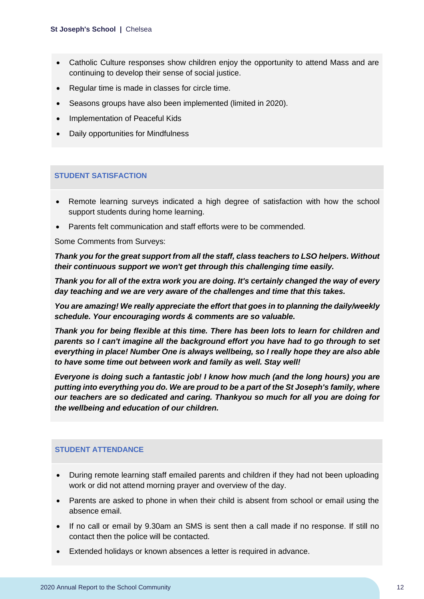#### **St Joseph's School |** Chelsea

- Catholic Culture responses show children enjoy the opportunity to attend Mass and are continuing to develop their sense of social justice.
- Regular time is made in classes for circle time.
- Seasons groups have also been implemented (limited in 2020).
- Implementation of Peaceful Kids
- Daily opportunities for Mindfulness

#### **STUDENT SATISFACTION**

- Remote learning surveys indicated a high degree of satisfaction with how the school support students during home learning.
- Parents felt communication and staff efforts were to be commended.

Some Comments from Surveys:

*Thank you for the great support from all the staff, class teachers to LSO helpers. Without their continuous support we won't get through this challenging time easily.*

*Thank you for all of the extra work you are doing. It's certainly changed the way of every day teaching and we are very aware of the challenges and time that this takes.* 

*You are amazing! We really appreciate the effort that goes in to planning the daily/weekly schedule. Your encouraging words & comments are so valuable.* 

*Thank you for being flexible at this time. There has been lots to learn for children and parents so I can't imagine all the background effort you have had to go through to set everything in place! Number One is always wellbeing, so I really hope they are also able to have some time out between work and family as well. Stay well!*

*Everyone is doing such a fantastic job! I know how much (and the long hours) you are putting into everything you do. We are proud to be a part of the St Joseph's family, where our teachers are so dedicated and caring. Thankyou so much for all you are doing for the wellbeing and education of our children.*

#### **STUDENT ATTENDANCE**

- During remote learning staff emailed parents and children if they had not been uploading work or did not attend morning prayer and overview of the day.
- Parents are asked to phone in when their child is absent from school or email using the absence email.
- If no call or email by 9.30am an SMS is sent then a call made if no response. If still no contact then the police will be contacted.
- Extended holidays or known absences a letter is required in advance.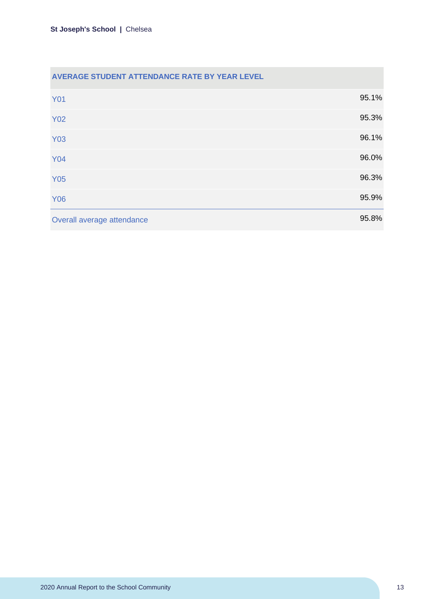| AVERAGE STUDENT ATTENDANCE RATE BY YEAR LEVEL |       |
|-----------------------------------------------|-------|
| <b>Y01</b>                                    | 95.1% |
| <b>Y02</b>                                    | 95.3% |
| <b>Y03</b>                                    | 96.1% |
| <b>Y04</b>                                    | 96.0% |
| <b>Y05</b>                                    | 96.3% |
| <b>Y06</b>                                    | 95.9% |
| Overall average attendance                    | 95.8% |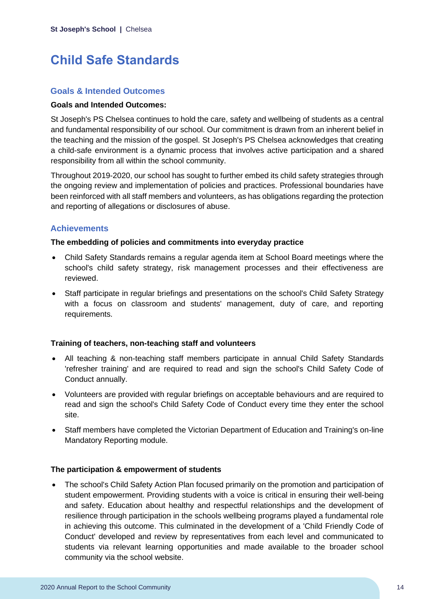### <span id="page-14-0"></span>**Child Safe Standards**

### **Goals & Intended Outcomes**

### **Goals and Intended Outcomes:**

St Joseph's PS Chelsea continues to hold the care, safety and wellbeing of students as a central and fundamental responsibility of our school. Our commitment is drawn from an inherent belief in the teaching and the mission of the gospel. St Joseph's PS Chelsea acknowledges that creating a child-safe environment is a dynamic process that involves active participation and a shared responsibility from all within the school community.

Throughout 2019-2020, our school has sought to further embed its child safety strategies through the ongoing review and implementation of policies and practices. Professional boundaries have been reinforced with all staff members and volunteers, as has obligations regarding the protection and reporting of allegations or disclosures of abuse.

### **Achievements**

#### **The embedding of policies and commitments into everyday practice**

- Child Safety Standards remains a regular agenda item at School Board meetings where the school's child safety strategy, risk management processes and their effectiveness are reviewed.
- Staff participate in regular briefings and presentations on the school's Child Safety Strategy with a focus on classroom and students' management, duty of care, and reporting requirements.

### **Training of teachers, non-teaching staff and volunteers**

- All teaching & non-teaching staff members participate in annual Child Safety Standards 'refresher training' and are required to read and sign the school's Child Safety Code of Conduct annually.
- Volunteers are provided with regular briefings on acceptable behaviours and are required to read and sign the school's Child Safety Code of Conduct every time they enter the school site.
- Staff members have completed the Victorian Department of Education and Training's on-line Mandatory Reporting module.

### **The participation & empowerment of students**

• The school's Child Safety Action Plan focused primarily on the promotion and participation of student empowerment. Providing students with a voice is critical in ensuring their well-being and safety. Education about healthy and respectful relationships and the development of resilience through participation in the schools wellbeing programs played a fundamental role in achieving this outcome. This culminated in the development of a 'Child Friendly Code of Conduct' developed and review by representatives from each level and communicated to students via relevant learning opportunities and made available to the broader school community via the school website.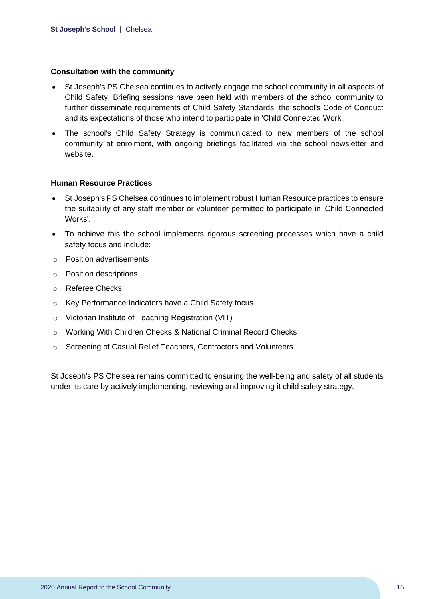### **Consultation with the community**

- St Joseph's PS Chelsea continues to actively engage the school community in all aspects of Child Safety. Briefing sessions have been held with members of the school community to further disseminate requirements of Child Safety Standards, the school's Code of Conduct and its expectations of those who intend to participate in 'Child Connected Work'.
- The school's Child Safety Strategy is communicated to new members of the school community at enrolment, with ongoing briefings facilitated via the school newsletter and website.

### **Human Resource Practices**

- St Joseph's PS Chelsea continues to implement robust Human Resource practices to ensure the suitability of any staff member or volunteer permitted to participate in 'Child Connected Works'.
- To achieve this the school implements rigorous screening processes which have a child safety focus and include:
- o Position advertisements
- o Position descriptions
- o Referee Checks
- o Key Performance Indicators have a Child Safety focus
- o Victorian Institute of Teaching Registration (VIT)
- o Working With Children Checks & National Criminal Record Checks
- o Screening of Casual Relief Teachers, Contractors and Volunteers.

St Joseph's PS Chelsea remains committed to ensuring the well-being and safety of all students under its care by actively implementing, reviewing and improving it child safety strategy.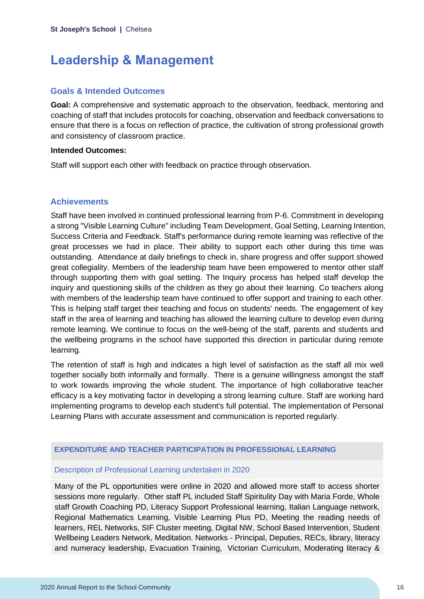### <span id="page-16-0"></span>**Leadership & Management**

### **Goals & Intended Outcomes**

**Goal:** A comprehensive and systematic approach to the observation, feedback, mentoring and coaching of staff that includes protocols for coaching, observation and feedback conversations to ensure that there is a focus on reflection of practice, the cultivation of strong professional growth and consistency of classroom practice.

#### **Intended Outcomes:**

Staff will support each other with feedback on practice through observation.

### **Achievements**

Staff have been involved in continued professional learning from P-6. Commitment in developing a strong "Visible Learning Culture" including Team Development, Goal Setting, Learning Intention, Success Criteria and Feedback. Staff's performance during remote learning was reflective of the great processes we had in place. Their ability to support each other during this time was outstanding. Attendance at daily briefings to check in, share progress and offer support showed great collegiality. Members of the leadership team have been empowered to mentor other staff through supporting them with goal setting. The Inquiry process has helped staff develop the inquiry and questioning skills of the children as they go about their learning. Co teachers along with members of the leadership team have continued to offer support and training to each other. This is helping staff target their teaching and focus on students' needs. The engagement of key staff in the area of learning and teaching has allowed the learning culture to develop even during remote learning. We continue to focus on the well-being of the staff, parents and students and the wellbeing programs in the school have supported this direction in particular during remote learning.

The retention of staff is high and indicates a high level of satisfaction as the staff all mix well together socially both informally and formally. There is a genuine willingness amongst the staff to work towards improving the whole student. The importance of high collaborative teacher efficacy is a key motivating factor in developing a strong learning culture. Staff are working hard implementing programs to develop each student's full potential. The implementation of Personal Learning Plans with accurate assessment and communication is reported regularly.

### **EXPENDITURE AND TEACHER PARTICIPATION IN PROFESSIONAL LEARNING**

### Description of Professional Learning undertaken in 2020

Many of the PL opportunities were online in 2020 and allowed more staff to access shorter sessions more regularly. Other staff PL included Staff Spiritulity Day with Maria Forde, Whole staff Growth Coaching PD, Literacy Support Professional learning, Italian Language network, Regional Mathematics Learning, Visible Learning Plus PD, Meeting the reading needs of learners, REL Networks, SIF Cluster meeting, Digital NW, School Based Intervention, Student Wellbeing Leaders Network, Meditation. Networks - Principal, Deputies, RECs, library, literacy and numeracy leadership, Evacuation Training, Victorian Curriculum, Moderating literacy &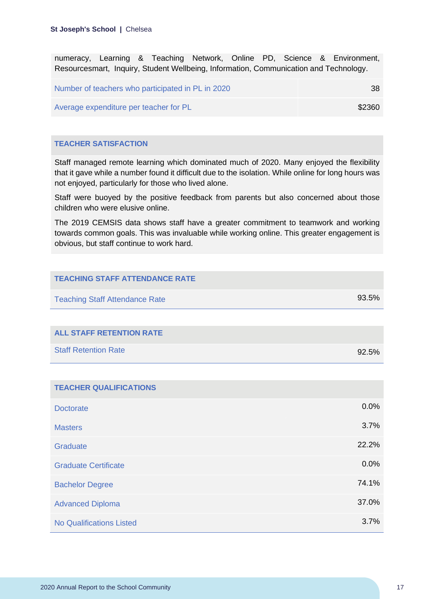numeracy, Learning & Teaching Network, Online PD, Science & Environment, Resourcesmart, Inquiry, Student Wellbeing, Information, Communication and Technology.

| Number of teachers who participated in PL in 2020 | -38    |
|---------------------------------------------------|--------|
| Average expenditure per teacher for PL            | \$2360 |

### **TEACHER SATISFACTION**

Staff managed remote learning which dominated much of 2020. Many enjoyed the flexibility that it gave while a number found it difficult due to the isolation. While online for long hours was not enjoyed, particularly for those who lived alone.

Staff were buoyed by the positive feedback from parents but also concerned about those children who were elusive online.

The 2019 CEMSIS data shows staff have a greater commitment to teamwork and working towards common goals. This was invaluable while working online. This greater engagement is obvious, but staff continue to work hard.

| <b>TEACHING STAFF ATTENDANCE RATE</b> |       |
|---------------------------------------|-------|
| <b>Teaching Staff Attendance Rate</b> | 93.5% |
|                                       |       |
| <b>ALL STAFF RETENTION RATE</b>       |       |
| <b>Staff Retention Rate</b>           | 92.5% |
|                                       |       |
| <b>TEACHER QUALIFICATIONS</b>         |       |
| <b>Doctorate</b>                      | 0.0%  |
| <b>Masters</b>                        | 3.7%  |
| Graduate                              | 22.2% |
| <b>Graduate Certificate</b>           | 0.0%  |
| <b>Bachelor Degree</b>                | 74.1% |
| <b>Advanced Diploma</b>               | 37.0% |
| <b>No Qualifications Listed</b>       | 3.7%  |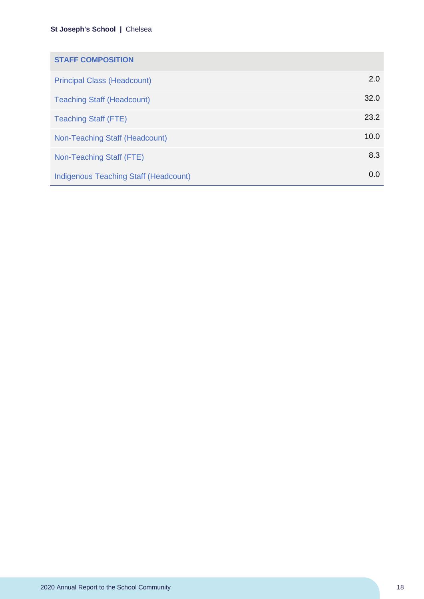### **St Joseph's School |** Chelsea

| <b>STAFF COMPOSITION</b>                     |      |
|----------------------------------------------|------|
| <b>Principal Class (Headcount)</b>           | 2.0  |
| <b>Teaching Staff (Headcount)</b>            | 32.0 |
| <b>Teaching Staff (FTE)</b>                  | 23.2 |
| Non-Teaching Staff (Headcount)               | 10.0 |
| Non-Teaching Staff (FTE)                     | 8.3  |
| <b>Indigenous Teaching Staff (Headcount)</b> | 0.0  |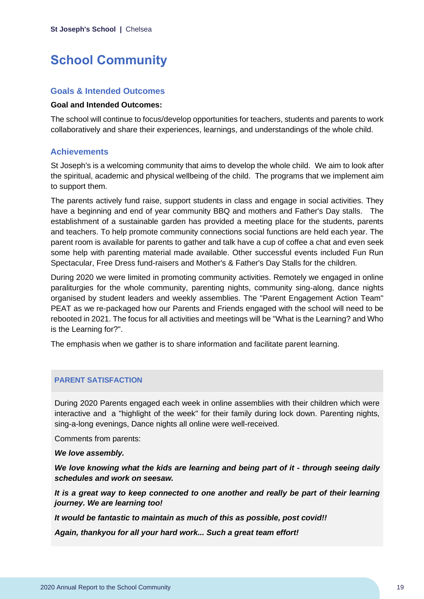### <span id="page-19-0"></span>**School Community**

### **Goals & Intended Outcomes**

### **Goal and Intended Outcomes:**

The school will continue to focus/develop opportunities for teachers, students and parents to work collaboratively and share their experiences, learnings, and understandings of the whole child.

### **Achievements**

St Joseph's is a welcoming community that aims to develop the whole child. We aim to look after the spiritual, academic and physical wellbeing of the child. The programs that we implement aim to support them.

The parents actively fund raise, support students in class and engage in social activities. They have a beginning and end of year community BBQ and mothers and Father's Day stalls. The establishment of a sustainable garden has provided a meeting place for the students, parents and teachers. To help promote community connections social functions are held each year. The parent room is available for parents to gather and talk have a cup of coffee a chat and even seek some help with parenting material made available. Other successful events included Fun Run Spectacular, Free Dress fund-raisers and Mother's & Father's Day Stalls for the children.

During 2020 we were limited in promoting community activities. Remotely we engaged in online paraliturgies for the whole community, parenting nights, community sing-along, dance nights organised by student leaders and weekly assemblies. The "Parent Engagement Action Team" PEAT as we re-packaged how our Parents and Friends engaged with the school will need to be rebooted in 2021. The focus for all activities and meetings will be "What is the Learning? and Who is the Learning for?".

The emphasis when we gather is to share information and facilitate parent learning.

### **PARENT SATISFACTION**

During 2020 Parents engaged each week in online assemblies with their children which were interactive and a "highlight of the week" for their family during lock down. Parenting nights, sing-a-long evenings, Dance nights all online were well-received.

Comments from parents:

#### *We love assembly.*

*We love knowing what the kids are learning and being part of it - through seeing daily schedules and work on seesaw.*

*It is a great way to keep connected to one another and really be part of their learning journey. We are learning too!*

*It would be fantastic to maintain as much of this as possible, post covid!!*

*Again, thankyou for all your hard work... Such a great team effort!*